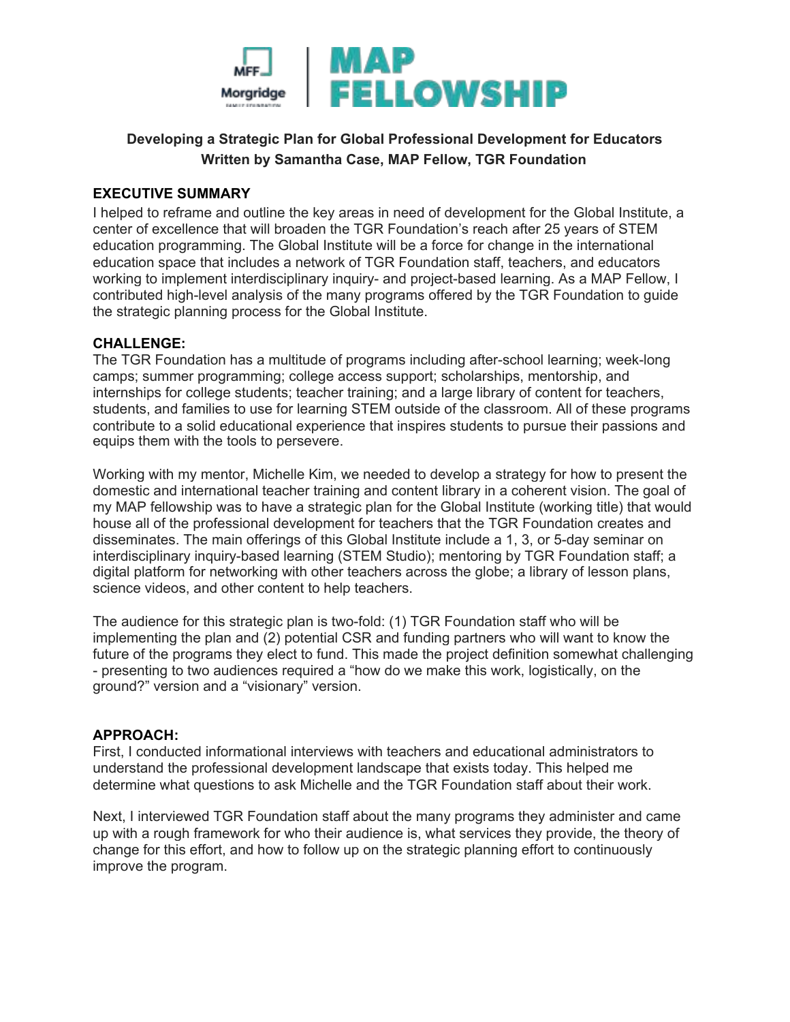

# **Developing a Strategic Plan for Global Professional Development for Educators Written by Samantha Case, MAP Fellow, TGR Foundation**

# **EXECUTIVE SUMMARY**

I helped to reframe and outline the key areas in need of development for the Global Institute, a center of excellence that will broaden the TGR Foundation's reach after 25 years of STEM education programming. The Global Institute will be a force for change in the international education space that includes a network of TGR Foundation staff, teachers, and educators working to implement interdisciplinary inquiry- and project-based learning. As a MAP Fellow, I contributed high-level analysis of the many programs offered by the TGR Foundation to guide the strategic planning process for the Global Institute.

### **CHALLENGE:**

The TGR Foundation has a multitude of programs including after-school learning; week-long camps; summer programming; college access support; scholarships, mentorship, and internships for college students; teacher training; and a large library of content for teachers, students, and families to use for learning STEM outside of the classroom. All of these programs contribute to a solid educational experience that inspires students to pursue their passions and equips them with the tools to persevere.

Working with my mentor, Michelle Kim, we needed to develop a strategy for how to present the domestic and international teacher training and content library in a coherent vision. The goal of my MAP fellowship was to have a strategic plan for the Global Institute (working title) that would house all of the professional development for teachers that the TGR Foundation creates and disseminates. The main offerings of this Global Institute include a 1, 3, or 5-day seminar on interdisciplinary inquiry-based learning (STEM Studio); mentoring by TGR Foundation staff; a digital platform for networking with other teachers across the globe; a library of lesson plans, science videos, and other content to help teachers.

The audience for this strategic plan is two-fold: (1) TGR Foundation staff who will be implementing the plan and (2) potential CSR and funding partners who will want to know the future of the programs they elect to fund. This made the project definition somewhat challenging - presenting to two audiences required a "how do we make this work, logistically, on the ground?" version and a "visionary" version.

#### **APPROACH:**

First, I conducted informational interviews with teachers and educational administrators to understand the professional development landscape that exists today. This helped me determine what questions to ask Michelle and the TGR Foundation staff about their work.

Next, I interviewed TGR Foundation staff about the many programs they administer and came up with a rough framework for who their audience is, what services they provide, the theory of change for this effort, and how to follow up on the strategic planning effort to continuously improve the program.